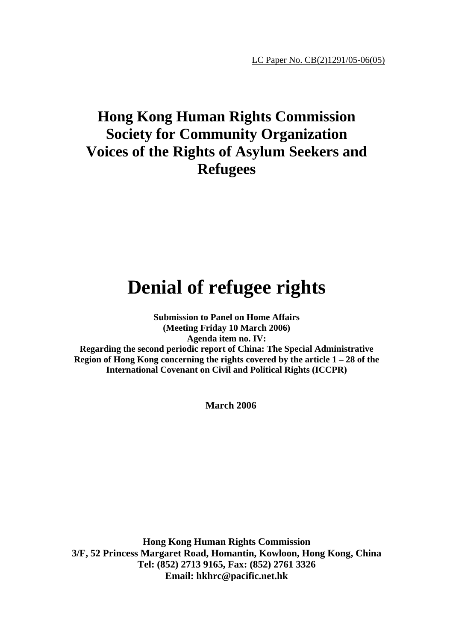LC Paper No. CB(2)1291/05-06(05)

# **Hong Kong Human Rights Commission Society for Community Organization Voices of the Rights of Asylum Seekers and Refugees**

# **Denial of refugee rights**

**Submission to Panel on Home Affairs (Meeting Friday 10 March 2006) Agenda item no. IV: Regarding the second periodic report of China: The Special Administrative Region of Hong Kong concerning the rights covered by the article 1 – 28 of the International Covenant on Civil and Political Rights (ICCPR)**

**March 2006** 

**Hong Kong Human Rights Commission 3/F, 52 Princess Margaret Road, Homantin, Kowloon, Hong Kong, China Tel: (852) 2713 9165, Fax: (852) 2761 3326 Email: hkhrc@pacific.net.hk**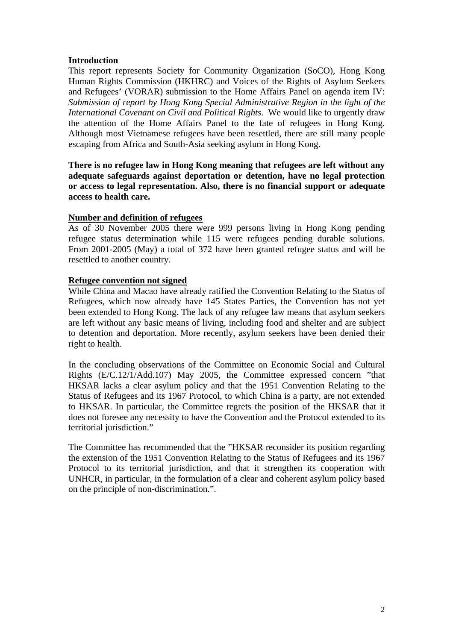# **Introduction**

This report represents Society for Community Organization (SoCO), Hong Kong Human Rights Commission (HKHRC) and Voices of the Rights of Asylum Seekers and Refugees' (VORAR) submission to the Home Affairs Panel on agenda item IV: *Submission of report by Hong Kong Special Administrative Region in the light of the International Covenant on Civil and Political Rights.* We would like to urgently draw the attention of the Home Affairs Panel to the fate of refugees in Hong Kong. Although most Vietnamese refugees have been resettled, there are still many people escaping from Africa and South-Asia seeking asylum in Hong Kong.

**There is no refugee law in Hong Kong meaning that refugees are left without any adequate safeguards against deportation or detention, have no legal protection or access to legal representation. Also, there is no financial support or adequate access to health care.** 

# **Number and definition of refugees**

As of 30 November 2005 there were 999 persons living in Hong Kong pending refugee status determination while 115 were refugees pending durable solutions. From 2001-2005 (May) a total of 372 have been granted refugee status and will be resettled to another country.

# **Refugee convention not signed**

While China and Macao have already ratified the Convention Relating to the Status of Refugees, which now already have 145 States Parties, the Convention has not yet been extended to Hong Kong. The lack of any refugee law means that asylum seekers are left without any basic means of living, including food and shelter and are subject to detention and deportation. More recently, asylum seekers have been denied their right to health.

In the concluding observations of the Committee on Economic Social and Cultural Rights (E/C.12/1/Add.107) May 2005, the Committee expressed concern "that HKSAR lacks a clear asylum policy and that the 1951 Convention Relating to the Status of Refugees and its 1967 Protocol, to which China is a party, are not extended to HKSAR. In particular, the Committee regrets the position of the HKSAR that it does not foresee any necessity to have the Convention and the Protocol extended to its territorial jurisdiction."

The Committee has recommended that the "HKSAR reconsider its position regarding the extension of the 1951 Convention Relating to the Status of Refugees and its 1967 Protocol to its territorial jurisdiction, and that it strengthen its cooperation with UNHCR, in particular, in the formulation of a clear and coherent asylum policy based on the principle of non-discrimination.".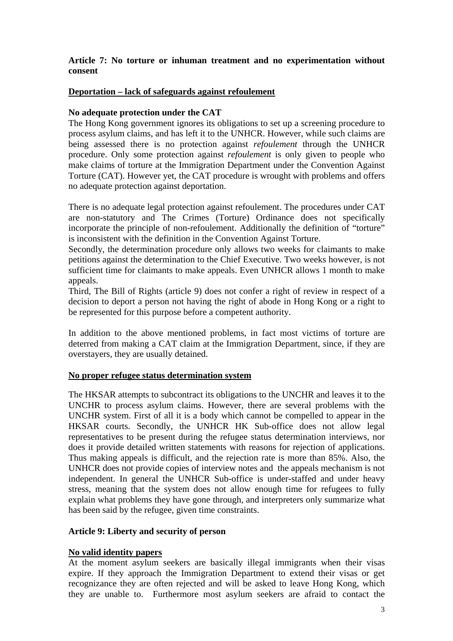# **Article 7: No torture or inhuman treatment and no experimentation without consent**

# **Deportation – lack of safeguards against refoulement**

## **No adequate protection under the CAT**

The Hong Kong government ignores its obligations to set up a screening procedure to process asylum claims, and has left it to the UNHCR. However, while such claims are being assessed there is no protection against *refoulement* through the UNHCR procedure. Only some protection against *refoulement* is only given to people who make claims of torture at the Immigration Department under the Convention Against Torture (CAT). However yet, the CAT procedure is wrought with problems and offers no adequate protection against deportation.

There is no adequate legal protection against refoulement. The procedures under CAT are non-statutory and The Crimes (Torture) Ordinance does not specifically incorporate the principle of non-refoulement. Additionally the definition of "torture" is inconsistent with the definition in the Convention Against Torture.

Secondly, the determination procedure only allows two weeks for claimants to make petitions against the determination to the Chief Executive. Two weeks however, is not sufficient time for claimants to make appeals. Even UNHCR allows 1 month to make appeals.

Third, The Bill of Rights (article 9) does not confer a right of review in respect of a decision to deport a person not having the right of abode in Hong Kong or a right to be represented for this purpose before a competent authority.

In addition to the above mentioned problems, in fact most victims of torture are deterred from making a CAT claim at the Immigration Department, since, if they are overstayers, they are usually detained.

#### **No proper refugee status determination system**

The HKSAR attempts to subcontract its obligations to the UNCHR and leaves it to the UNCHR to process asylum claims. However, there are several problems with the UNCHR system. First of all it is a body which cannot be compelled to appear in the HKSAR courts. Secondly, the UNHCR HK Sub-office does not allow legal representatives to be present during the refugee status determination interviews, nor does it provide detailed written statements with reasons for rejection of applications. Thus making appeals is difficult, and the rejection rate is more than 85%. Also, the UNHCR does not provide copies of interview notes and the appeals mechanism is not independent. In general the UNHCR Sub-office is under-staffed and under heavy stress, meaning that the system does not allow enough time for refugees to fully explain what problems they have gone through, and interpreters only summarize what has been said by the refugee, given time constraints.

#### **Article 9: Liberty and security of person**

#### **No valid identity papers**

At the moment asylum seekers are basically illegal immigrants when their visas expire. If they approach the Immigration Department to extend their visas or get recognizance they are often rejected and will be asked to leave Hong Kong, which they are unable to. Furthermore most asylum seekers are afraid to contact the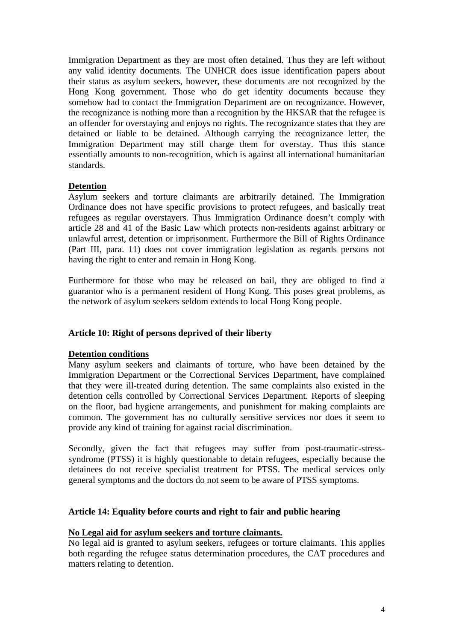Immigration Department as they are most often detained. Thus they are left without any valid identity documents. The UNHCR does issue identification papers about their status as asylum seekers, however, these documents are not recognized by the Hong Kong government. Those who do get identity documents because they somehow had to contact the Immigration Department are on recognizance. However, the recognizance is nothing more than a recognition by the HKSAR that the refugee is an offender for overstaying and enjoys no rights. The recognizance states that they are detained or liable to be detained. Although carrying the recognizance letter, the Immigration Department may still charge them for overstay. Thus this stance essentially amounts to non-recognition, which is against all international humanitarian standards.

# **Detention**

Asylum seekers and torture claimants are arbitrarily detained. The Immigration Ordinance does not have specific provisions to protect refugees, and basically treat refugees as regular overstayers. Thus Immigration Ordinance doesn't comply with article 28 and 41 of the Basic Law which protects non-residents against arbitrary or unlawful arrest, detention or imprisonment. Furthermore the Bill of Rights Ordinance (Part III, para. 11) does not cover immigration legislation as regards persons not having the right to enter and remain in Hong Kong.

Furthermore for those who may be released on bail, they are obliged to find a guarantor who is a permanent resident of Hong Kong. This poses great problems, as the network of asylum seekers seldom extends to local Hong Kong people.

# **Article 10: Right of persons deprived of their liberty**

#### **Detention conditions**

Many asylum seekers and claimants of torture, who have been detained by the Immigration Department or the Correctional Services Department, have complained that they were ill-treated during detention. The same complaints also existed in the detention cells controlled by Correctional Services Department. Reports of sleeping on the floor, bad hygiene arrangements, and punishment for making complaints are common. The government has no culturally sensitive services nor does it seem to provide any kind of training for against racial discrimination.

Secondly, given the fact that refugees may suffer from post-traumatic-stresssyndrome (PTSS) it is highly questionable to detain refugees, especially because the detainees do not receive specialist treatment for PTSS. The medical services only general symptoms and the doctors do not seem to be aware of PTSS symptoms.

## **Article 14: Equality before courts and right to fair and public hearing**

#### **No Legal aid for asylum seekers and torture claimants.**

No legal aid is granted to asylum seekers, refugees or torture claimants. This applies both regarding the refugee status determination procedures, the CAT procedures and matters relating to detention.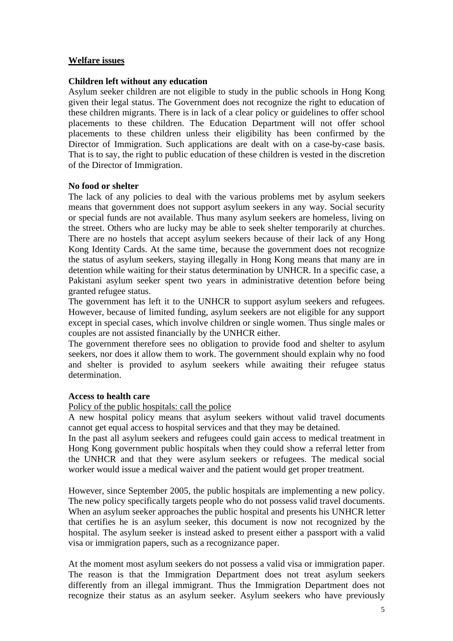# **Welfare issues**

#### **Children left without any education**

Asylum seeker children are not eligible to study in the public schools in Hong Kong given their legal status. The Government does not recognize the right to education of these children migrants. There is in lack of a clear policy or guidelines to offer school placements to these children. The Education Department will not offer school placements to these children unless their eligibility has been confirmed by the Director of Immigration. Such applications are dealt with on a case-by-case basis. That is to say, the right to public education of these children is vested in the discretion of the Director of Immigration.

#### **No food or shelter**

The lack of any policies to deal with the various problems met by asylum seekers means that government does not support asylum seekers in any way. Social security or special funds are not available. Thus many asylum seekers are homeless, living on the street. Others who are lucky may be able to seek shelter temporarily at churches. There are no hostels that accept asylum seekers because of their lack of any Hong Kong Identity Cards. At the same time, because the government does not recognize the status of asylum seekers, staying illegally in Hong Kong means that many are in detention while waiting for their status determination by UNHCR. In a specific case, a Pakistani asylum seeker spent two years in administrative detention before being granted refugee status.

The government has left it to the UNHCR to support asylum seekers and refugees. However, because of limited funding, asylum seekers are not eligible for any support except in special cases, which involve children or single women. Thus single males or couples are not assisted financially by the UNHCR either.

The government therefore sees no obligation to provide food and shelter to asylum seekers, nor does it allow them to work. The government should explain why no food and shelter is provided to asylum seekers while awaiting their refugee status determination.

#### **Access to health care**

Policy of the public hospitals: call the police

A new hospital policy means that asylum seekers without valid travel documents cannot get equal access to hospital services and that they may be detained.

In the past all asylum seekers and refugees could gain access to medical treatment in Hong Kong government public hospitals when they could show a referral letter from the UNHCR and that they were asylum seekers or refugees. The medical social worker would issue a medical waiver and the patient would get proper treatment.

However, since September 2005, the public hospitals are implementing a new policy. The new policy specifically targets people who do not possess valid travel documents. When an asylum seeker approaches the public hospital and presents his UNHCR letter that certifies he is an asylum seeker, this document is now not recognized by the hospital. The asylum seeker is instead asked to present either a passport with a valid visa or immigration papers, such as a recognizance paper.

At the moment most asylum seekers do not possess a valid visa or immigration paper. The reason is that the Immigration Department does not treat asylum seekers differently from an illegal immigrant. Thus the Immigration Department does not recognize their status as an asylum seeker. Asylum seekers who have previously